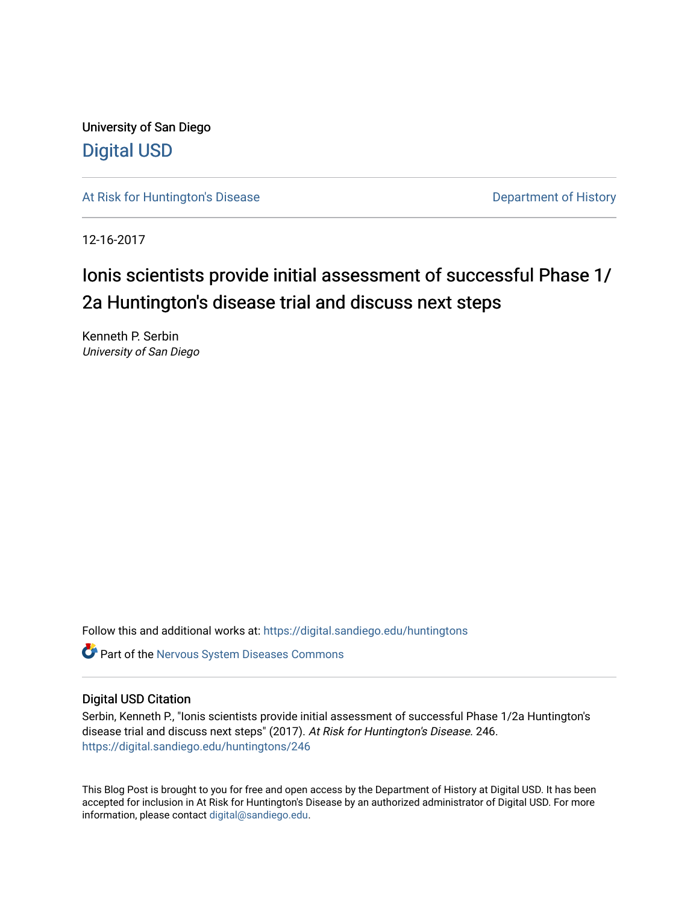University of San Diego [Digital USD](https://digital.sandiego.edu/)

[At Risk for Huntington's Disease](https://digital.sandiego.edu/huntingtons) **Department of History** Department of History

12-16-2017

## Ionis scientists provide initial assessment of successful Phase 1/ 2a Huntington's disease trial and discuss next steps

Kenneth P. Serbin University of San Diego

Follow this and additional works at: [https://digital.sandiego.edu/huntingtons](https://digital.sandiego.edu/huntingtons?utm_source=digital.sandiego.edu%2Fhuntingtons%2F246&utm_medium=PDF&utm_campaign=PDFCoverPages)

**C** Part of the [Nervous System Diseases Commons](http://network.bepress.com/hgg/discipline/928?utm_source=digital.sandiego.edu%2Fhuntingtons%2F246&utm_medium=PDF&utm_campaign=PDFCoverPages)

## Digital USD Citation

Serbin, Kenneth P., "Ionis scientists provide initial assessment of successful Phase 1/2a Huntington's disease trial and discuss next steps" (2017). At Risk for Huntington's Disease. 246. [https://digital.sandiego.edu/huntingtons/246](https://digital.sandiego.edu/huntingtons/246?utm_source=digital.sandiego.edu%2Fhuntingtons%2F246&utm_medium=PDF&utm_campaign=PDFCoverPages)

This Blog Post is brought to you for free and open access by the Department of History at Digital USD. It has been accepted for inclusion in At Risk for Huntington's Disease by an authorized administrator of Digital USD. For more information, please contact [digital@sandiego.edu.](mailto:digital@sandiego.edu)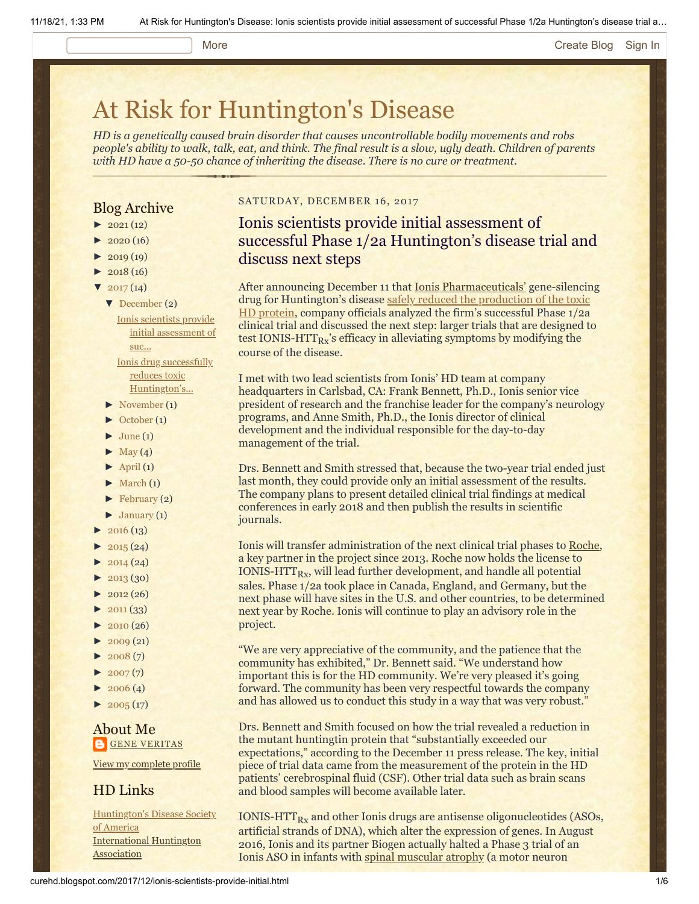#### More **[Create Blog](https://www.blogger.com/home#create) [Sign In](https://www.blogger.com/)**

# [At Risk for Huntington's Disease](http://curehd.blogspot.com/)

*HD is a genetically caused brain disorder that causes uncontrollable bodily movements and robs people's ability to walk, talk, eat, and think. The final result is a slow, ugly death. Children of parents with HD have a 50-50 chance of inheriting the disease. There is no cure or treatment.*

## Blog Archive

- $\blacktriangleright$  [2021](http://curehd.blogspot.com/2021/) (12)
- $\blacktriangleright$  [2020](http://curehd.blogspot.com/2020/) (16)
- $\blacktriangleright$  [2019](http://curehd.blogspot.com/2019/) (19)
- $\blacktriangleright$  [2018](http://curehd.blogspot.com/2018/) (16)
- $\blacktriangledown$  [2017](http://curehd.blogspot.com/2017/) (14)
	- [▼](javascript:void(0)) [December](http://curehd.blogspot.com/2017/12/) (2) Ionis scientists provide initial [assessment](http://curehd.blogspot.com/2017/12/ionis-scientists-provide-initial.html) of suc... Ionis drug successfully reduces toxic [Huntington's...](http://curehd.blogspot.com/2017/12/ionis-drug-successfully-reduces-toxic.html)
	- [►](javascript:void(0)) [November](http://curehd.blogspot.com/2017/11/) (1)
	- [►](javascript:void(0)) [October](http://curehd.blogspot.com/2017/10/) (1)
	- $\blacktriangleright$  [June](http://curehd.blogspot.com/2017/06/) (1)
	- $\blacktriangleright$  [May](http://curehd.blogspot.com/2017/05/) (4)
	- $\blacktriangleright$  [April](http://curehd.blogspot.com/2017/04/) (1)
	- $\blacktriangleright$  [March](http://curehd.blogspot.com/2017/03/) (1)
	- $\blacktriangleright$  [February](http://curehd.blogspot.com/2017/02/) (2)
- $\blacktriangleright$  [January](http://curehd.blogspot.com/2017/01/) (1)
- $\blacktriangleright$  [2016](http://curehd.blogspot.com/2016/) (13)
- $-2015(24)$  $-2015(24)$  $-2015(24)$
- $\blacktriangleright$  [2014](http://curehd.blogspot.com/2014/) (24)
- $\blacktriangleright$  [2013](http://curehd.blogspot.com/2013/) (30)
- $\blacktriangleright$  [2012](http://curehd.blogspot.com/2012/) (26)
- $\blacktriangleright$  [2011](http://curehd.blogspot.com/2011/) (33)
- $\blacktriangleright$  [2010](http://curehd.blogspot.com/2010/) (26)
- $2009(21)$  $2009(21)$
- $\blacktriangleright$  [2008](http://curehd.blogspot.com/2008/) $(7)$
- $\blacktriangleright$  [2007](http://curehd.blogspot.com/2007/)(7)
- $\blacktriangleright$  [2006](http://curehd.blogspot.com/2006/) (4)
- $\blacktriangleright$  [2005](http://curehd.blogspot.com/2005/) (17)

## About Me **GENE [VERITAS](https://www.blogger.com/profile/10911736205741688185)**

View my [complete](https://www.blogger.com/profile/10911736205741688185) profile

## HD Links

[Huntington's](http://www.hdsa.org/) Disease Society of America [International](http://www.huntington-assoc.com/) Huntington **Association** 

### SATURDAY, DECEMBER 16, 2017

## Ionis scientists provide initial assessment of successful Phase 1/2a Huntington's disease trial and discuss next steps

After announcing December 11 that [Ionis Pharmaceuticals'](http://www.ionispharma.com/) gene-silencing drug for [Huntington's disease safely reduced the production of the toxic](http://curehd.blogspot.com/2017/12/ionis-drug-successfully-reduces-toxic.html) HD protein, company officials analyzed the firm's successful Phase 1/2a clinical trial and discussed the next step: larger trials that are designed to test IONIS-HTT $_{\rm{Rx}}$ 's efficacy in alleviating symptoms by modifying the course of the disease.

I met with two lead scientists from Ionis' HD team at company headquarters in Carlsbad, CA: Frank Bennett, Ph.D., Ionis senior vice president of research and the franchise leader for the company's neurology programs, and Anne Smith, Ph.D., the Ionis director of clinical development and the individual responsible for the day-to-day management of the trial.

Drs. Bennett and Smith stressed that, because the two-year trial ended just last month, they could provide only an initial assessment of the results. The company plans to present detailed clinical trial findings at medical conferences in early 2018 and then publish the results in scientific journals.

Ionis will transfer administration of the next clinical trial phases to [Roche,](https://www.roche.com/) a key partner in the project since 2013. Roche now holds the license to  $\text{IONIS-HTT}_\text{Rx}$ , will lead further development, and handle all potential sales. Phase 1/2a took place in Canada, England, and Germany, but the next phase will have sites in the U.S. and other countries, to be determined next year by Roche. Ionis will continue to play an advisory role in the project.

"We are very appreciative of the community, and the patience that the community has exhibited," Dr. Bennett said. "We understand how important this is for the HD community. We're very pleased it's going forward. The community has been very respectful towards the company and has allowed us to conduct this study in a way that was very robust."

Drs. Bennett and Smith focused on how the trial revealed a reduction in the mutant huntingtin protein that "substantially exceeded our expectations," according to the December 11 press release. The key, initial piece of trial data came from the measurement of the protein in the HD patients' cerebrospinal fluid (CSF). Other trial data such as brain scans and blood samples will become available later.

IONIS-HTT $_{Rx}$  and other Ionis drugs are antisense oligonucleotides (ASOs, artificial strands of DNA), which alter the expression of genes. In August 2016, Ionis and its partner Biogen actually halted a Phase 3 trial of an Ionis ASO in infants with [spinal muscular atrophy](http://www.curesma.org/sma/about-sma/) (a motor neuron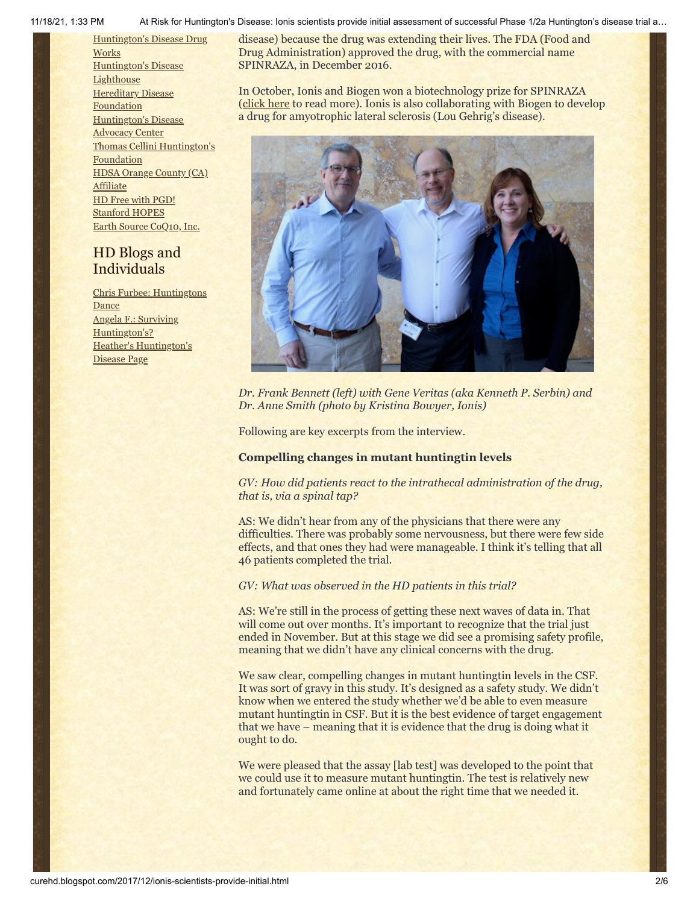[Huntington's](http://hddrugworks.org/) Disease Drug **Works** [Huntington's](http://www.hdlighthouse.org/) Disease **Lighthouse Hereditary Disease [Foundation](http://www.hdfoundation.org/)** [Huntington's](http://www.hdac.org/) Disease Advocacy Center Thomas [Cellini Huntington's](http://www.ourtchfoundation.org/) Foundation HDSA Orange County (CA) [Affiliate](http://www.hdsaoc.org/) HD Free with [PGD!](http://www.hdfreewithpgd.com/) [Stanford](http://www.stanford.edu/group/hopes/) HOPES Earth Source [CoQ10,](http://www.escoq10.com/) Inc.

## HD Blogs and Individuals

Chris Furbee: [Huntingtons](http://www.huntingtonsdance.org/) **Dance** Angela F.: Surviving [Huntington's?](http://survivinghuntingtons.blogspot.com/) Heather's [Huntington's](http://heatherdugdale.angelfire.com/) Disease Page

11/18/21, 1:33 PM At Risk for Huntington's Disease: Ionis scientists provide initial assessment of successful Phase 1/2a Huntington's disease trial a…

disease) because the drug was extending their lives. The FDA (Food and Drug Administration) approved the drug, with the commercial name SPINRAZA, in December 2016.

In October, Ionis and Biogen won a biotechnology prize for SPINRAZA ([click here](http://ir.ionispharma.com/news-releases/news-release-details/ionis-and-biogen-win-prestigious-prix-galien-best-biotechnology) to read more). Ionis is also collaborating with Biogen to develop a drug for amyotrophic lateral sclerosis (Lou Gehrig's disease).



*Dr. Frank Bennett (left) with Gene Veritas (aka Kenneth P. Serbin) and Dr. Anne Smith (photo by Kristina Bowyer, Ionis)*

Following are key excerpts from the interview.

## **Compelling changes in mutant huntingtin levels**

*GV: How did patients react to the intrathecal administration of the drug, that is, via a spinal tap?*

AS: We didn't hear from any of the physicians that there were any difficulties. There was probably some nervousness, but there were few side effects, and that ones they had were manageable. I think it's telling that all 46 patients completed the trial.

## *GV: What was observed in the HD patients in this trial?*

AS: We're still in the process of getting these next waves of data in. That will come out over months. It's important to recognize that the trial just ended in November. But at this stage we did see a promising safety profile, meaning that we didn't have any clinical concerns with the drug.

We saw clear, compelling changes in mutant huntingtin levels in the CSF. It was sort of gravy in this study. It's designed as a safety study. We didn't know when we entered the study whether we'd be able to even measure mutant huntingtin in CSF. But it is the best evidence of target engagement that we have – meaning that it is evidence that the drug is doing what it ought to do.

We were pleased that the assay [lab test] was developed to the point that we could use it to measure mutant huntingtin. The test is relatively new and fortunately came online at about the right time that we needed it.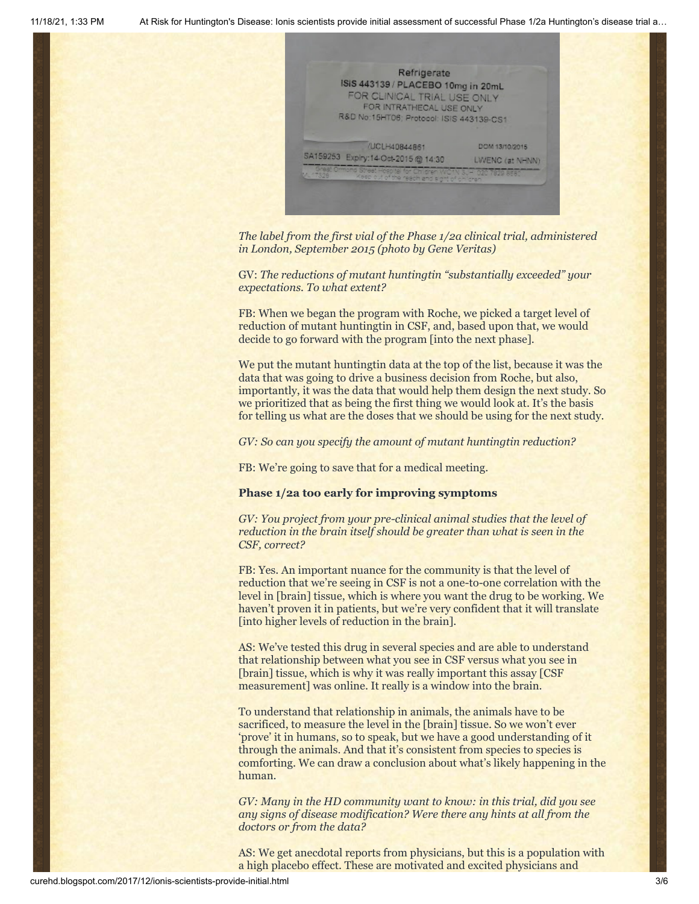

*The label from the first vial of the Phase 1/2a clinical trial, administered in London, September 2015 (photo by Gene Veritas)*

GV: *The reductions of mutant huntingtin "substantially exceeded" your expectations. To what extent?*

FB: When we began the program with Roche, we picked a target level of reduction of mutant huntingtin in CSF, and, based upon that, we would decide to go forward with the program [into the next phase].

We put the mutant huntingtin data at the top of the list, because it was the data that was going to drive a business decision from Roche, but also, importantly, it was the data that would help them design the next study. So we prioritized that as being the first thing we would look at. It's the basis for telling us what are the doses that we should be using for the next study.

*GV: So can you specify the amount of mutant huntingtin reduction?*

FB: We're going to save that for a medical meeting.

## **Phase 1/2a too early for improving symptoms**

*GV: You project from your pre-clinical animal studies that the level of reduction in the brain itself should be greater than what is seen in the CSF, correct?*

FB: Yes. An important nuance for the community is that the level of reduction that we're seeing in CSF is not a one-to-one correlation with the level in [brain] tissue, which is where you want the drug to be working. We haven't proven it in patients, but we're very confident that it will translate [into higher levels of reduction in the brain].

AS: We've tested this drug in several species and are able to understand that relationship between what you see in CSF versus what you see in [brain] tissue, which is why it was really important this assay [CSF measurement] was online. It really is a window into the brain.

To understand that relationship in animals, the animals have to be sacrificed, to measure the level in the [brain] tissue. So we won't ever 'prove' it in humans, so to speak, but we have a good understanding of it through the animals. And that it's consistent from species to species is comforting. We can draw a conclusion about what's likely happening in the human.

*GV: Many in the HD community want to know: in this trial, did you see any signs of disease modification? Were there any hints at all from the doctors or from the data?*

AS: We get anecdotal reports from physicians, but this is a population with a high placebo effect. These are motivated and excited physicians and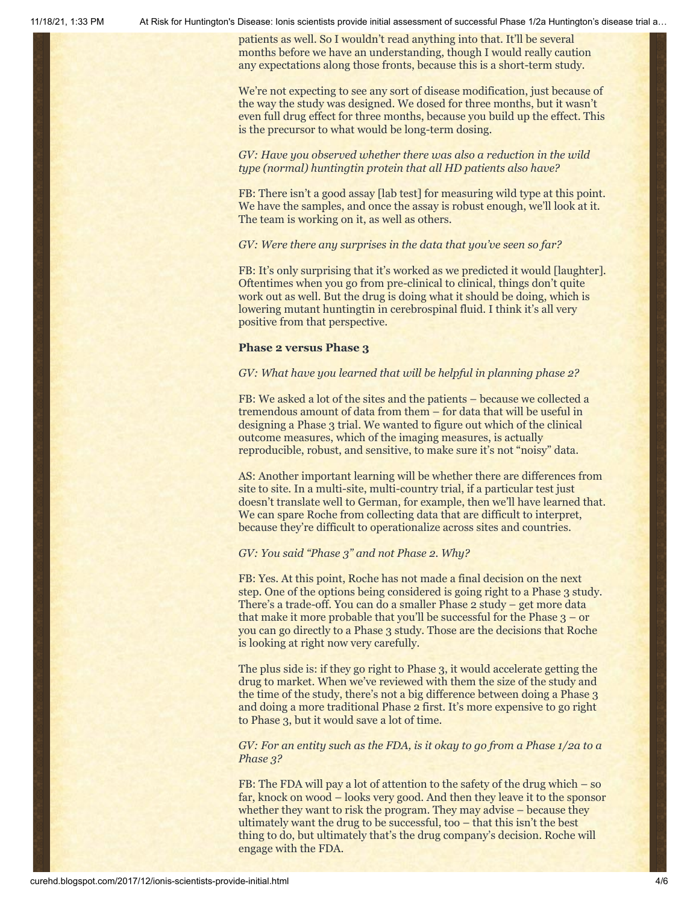11/18/21, 1:33 PM At Risk for Huntington's Disease: Ionis scientists provide initial assessment of successful Phase 1/2a Huntington's disease trial a…

patients as well. So I wouldn't read anything into that. It'll be several months before we have an understanding, though I would really caution any expectations along those fronts, because this is a short-term study.

We're not expecting to see any sort of disease modification, just because of the way the study was designed. We dosed for three months, but it wasn't even full drug effect for three months, because you build up the effect. This is the precursor to what would be long-term dosing.

*GV: Have you observed whether there was also a reduction in the wild type (normal) huntingtin protein that all HD patients also have?*

FB: There isn't a good assay [lab test] for measuring wild type at this point. We have the samples, and once the assay is robust enough, we'll look at it. The team is working on it, as well as others.

### *GV: Were there any surprises in the data that you've seen so far?*

FB: It's only surprising that it's worked as we predicted it would [laughter]. Oftentimes when you go from pre-clinical to clinical, things don't quite work out as well. But the drug is doing what it should be doing, which is lowering mutant huntingtin in cerebrospinal fluid. I think it's all very positive from that perspective.

## **Phase 2 versus Phase 3**

#### *GV: What have you learned that will be helpful in planning phase 2?*

FB: We asked a lot of the sites and the patients – because we collected a tremendous amount of data from them – for data that will be useful in designing a Phase 3 trial. We wanted to figure out which of the clinical outcome measures, which of the imaging measures, is actually reproducible, robust, and sensitive, to make sure it's not "noisy" data.

AS: Another important learning will be whether there are differences from site to site. In a multi-site, multi-country trial, if a particular test just doesn't translate well to German, for example, then we'll have learned that. We can spare Roche from collecting data that are difficult to interpret, because they're difficult to operationalize across sites and countries.

## *GV: You said "Phase 3" and not Phase 2. Why?*

FB: Yes. At this point, Roche has not made a final decision on the next step. One of the options being considered is going right to a Phase 3 study. There's a trade-off. You can do a smaller Phase 2 study – get more data that make it more probable that you'll be successful for the Phase  $3 - or$ you can go directly to a Phase 3 study. Those are the decisions that Roche is looking at right now very carefully.

The plus side is: if they go right to Phase 3, it would accelerate getting the drug to market. When we've reviewed with them the size of the study and the time of the study, there's not a big difference between doing a Phase 3 and doing a more traditional Phase 2 first. It's more expensive to go right to Phase 3, but it would save a lot of time.

*GV: For an entity such as the FDA, is it okay to go from a Phase 1/2a to a Phase 3?*

FB: The FDA will pay a lot of attention to the safety of the drug which – so far, knock on wood – looks very good. And then they leave it to the sponsor whether they want to risk the program. They may advise – because they ultimately want the drug to be successful, too – that this isn't the best thing to do, but ultimately that's the drug company's decision. Roche will engage with the FDA.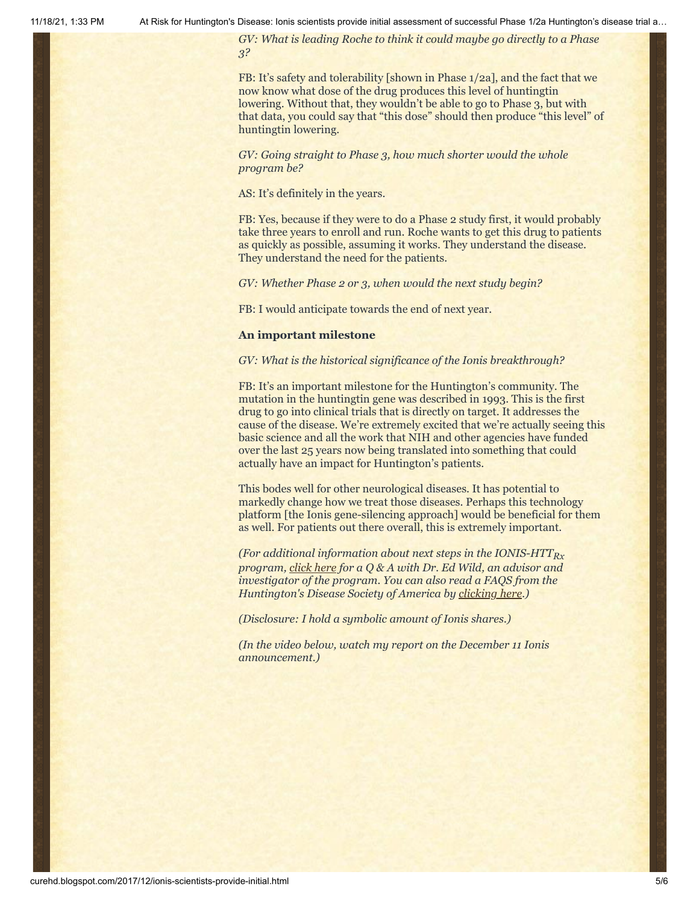*GV: What is leading Roche to think it could maybe go directly to a Phase 3?*

FB: It's safety and tolerability [shown in Phase 1/2a], and the fact that we now know what dose of the drug produces this level of huntingtin lowering. Without that, they wouldn't be able to go to Phase 3, but with that data, you could say that "this dose" should then produce "this level" of huntingtin lowering.

*GV: Going straight to Phase 3, how much shorter would the whole program be?*

AS: It's definitely in the years.

FB: Yes, because if they were to do a Phase 2 study first, it would probably take three years to enroll and run. Roche wants to get this drug to patients as quickly as possible, assuming it works. They understand the disease. They understand the need for the patients.

*GV: Whether Phase 2 or 3, when would the next study begin?*

FB: I would anticipate towards the end of next year.

#### **An important milestone**

*GV: What is the historical significance of the Ionis breakthrough?*

FB: It's an important milestone for the Huntington's community. The mutation in the huntingtin gene was described in 1993. This is the first drug to go into clinical trials that is directly on target. It addresses the cause of the disease. We're extremely excited that we're actually seeing this basic science and all the work that NIH and other agencies have funded over the last 25 years now being translated into something that could actually have an impact for Huntington's patients.

This bodes well for other neurological diseases. It has potential to markedly change how we treat those diseases. Perhaps this technology platform [the Ionis gene-silencing approach] would be beneficial for them as well. For patients out there overall, this is extremely important.

*(For additional information about next steps in the IONIS-HTTRx program, [click here](https://www.hda.org.uk/research/latest-research-news/httrx-antisense-drug-research-ask-the-expert) for a Q & A with Dr. Ed Wild, an advisor and investigator of the program. You can also read a FAQS from the Huntington's Disease Society of America by [clicking here](http://hdsa.org/news/faq-ionis-huntingtin-lowering-trial/).)*

*(Disclosure: I hold a symbolic amount of Ionis shares.)*

*(In the video below, watch my report on the December 11 Ionis announcement.)*